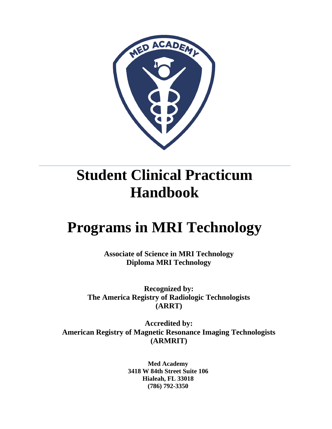

# **Student Clinical Practicum Handbook**

# **Programs in MRI Technology**

**Associate of Science in MRI Technology Diploma MRI Technology** 

**Recognized by: The America Registry of Radiologic Technologists (ARRT)**

**Accredited by: American Registry of Magnetic Resonance Imaging Technologists (ARMRIT)**

> **Med Academy 3418 W 84th Street Suite 106 Hialeah, FL 33018 (786) 792-3350**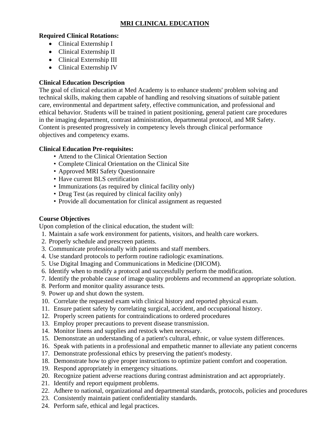#### **MRI CLINICAL EDUCATION**

#### **Required Clinical Rotations:**

- Clinical Externship I
- Clinical Externship II
- Clinical Externship III
- Clinical Externship IV

#### **Clinical Education Description**

The goal of clinical education at Med Academy is to enhance students' problem solving and technical skills, making them capable of handling and resolving situations of suitable patient care, environmental and department safety, effective communication, and professional and ethical behavior. Students will be trained in patient positioning, general patient care procedures in the imaging department, contrast administration, departmental protocol, and MR Safety. Content is presented progressively in competency levels through clinical performance objectives and competency exams.

#### **Clinical Education Pre-requisites:**

- Attend to the Clinical Orientation Section
- Complete Clinical Orientation on the Clinical Site
- Approved MRI Safety Questionnaire
- Have current BLS certification
- Immunizations (as required by clinical facility only)
- Drug Test (as required by clinical facility only)
- Provide all documentation for clinical assignment as requested

#### **Course Objectives**

Upon completion of the clinical education, the student will:

- 1. Maintain a safe work environment for patients, visitors, and health care workers.
- 2. Properly schedule and prescreen patients.
- 3. Communicate professionally with patients and staff members.
- 4. Use standard protocols to perform routine radiologic examinations.
- 5. Use Digital Imaging and Communications in Medicine (DICOM).
- 6. Identify when to modify a protocol and successfully perform the modification.
- 7. Identify the probable cause of image quality problems and recommend an appropriate solution.
- 8. Perform and monitor quality assurance tests.
- 9. Power up and shut down the system.
- 10. Correlate the requested exam with clinical history and reported physical exam.
- 11. Ensure patient safety by correlating surgical, accident, and occupational history.
- 12. Properly screen patients for contraindications to ordered procedures
- 13. Employ proper precautions to prevent disease transmission.
- 14. Monitor linens and supplies and restock when necessary.
- 15. Demonstrate an understanding of a patient's cultural, ethnic, or value system differences.
- 16. Speak with patients in a professional and empathetic manner to alleviate any patient concerns
- 17. Demonstrate professional ethics by preserving the patient's modesty.
- 18. Demonstrate how to give proper instructions to optimize patient comfort and cooperation.
- 19. Respond appropriately in emergency situations.
- 20. Recognize patient adverse reactions during contrast administration and act appropriately.
- 21. Identify and report equipment problems.
- 22. Adhere to national, organizational and departmental standards, protocols, policies and procedures
- 23. Consistently maintain patient confidentiality standards.
- 24. Perform safe, ethical and legal practices.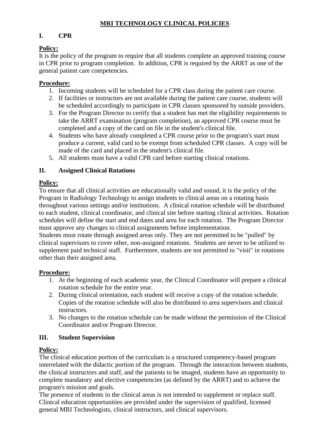#### **MRI TECHNOLOGY CLINICAL POLICIES**

#### **I. CPR**

#### **Policy:**

It is the policy of the program to require that all students complete an approved training course in CPR prior to program completion. In addition, CPR is required by the ARRT as one of the general patient care competencies.

#### **Procedure:**

- 1. Incoming students will be scheduled for a CPR class during the patient care course.
- 2. If facilities or instructors are not available during the patient care course, students will be scheduled accordingly to participate in CPR classes sponsored by outside providers.
- 3. For the Program Director to certify that a student has met the eligibility requirements to take the ARRT examination (program completion), an approved CPR course must be completed and a copy of the card on file in the student's clinical file.
- 4. Students who have already completed a CPR course prior to the program's start must produce a current, valid card to be exempt from scheduled CPR classes. A copy will be made of the card and placed in the student's clinical file.
- 5. All students must have a valid CPR card before starting clinical rotations.

#### **II. Assigned Clinical Rotations**

#### **Policy:**

To ensure that all clinical activities are educationally valid and sound, it is the policy of the Program in Radiology Technology to assign students to clinical areas on a rotating basis throughout various settings and/or institutions. A clinical rotation schedule will be distributed to each student, clinical coordinator, and clinical site before starting clinical activities. Rotation schedules will define the start and end dates and area for each rotation. The Program Director must approve any changes to clinical assignments before implementation.

Students must rotate through assigned areas only. They are not permitted to be "pulled" by clinical supervisors to cover other, non-assigned rotations. Students are never to be utilized to supplement paid technical staff. Furthermore, students are not permitted to "visit" in rotations other than their assigned area.

#### **Procedure:**

- 1. At the beginning of each academic year, the Clinical Coordinator will prepare a clinical rotation schedule for the entire year.
- 2. During clinical orientation, each student will receive a copy of the rotation schedule. Copies of the rotation schedule will also be distributed to area supervisors and clinical instructors.
- 3. No changes to the rotation schedule can be made without the permission of the Clinical Coordinator and/or Program Director.

#### **III. Student Supervision**

#### **Policy:**

The clinical education portion of the curriculum is a structured competency-based program interrelated with the didactic portion of the program. Through the interaction between students, the clinical instructors and staff, and the patients to be imaged, students have an opportunity to complete mandatory and elective competencies (as defined by the ARRT) and to achieve the program's mission and goals.

The presence of students in the clinical areas is not intended to supplement or replace staff. Clinical education opportunities are provided under the supervision of qualified, licensed general MRI Technologists, clinical instructors, and clinical supervisors.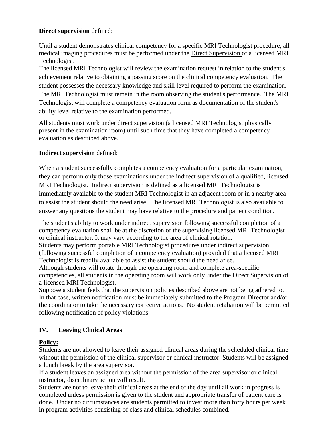#### **Direct supervision** defined:

Until a student demonstrates clinical competency for a specific MRI Technologist procedure, all medical imaging procedures must be performed under the Direct Supervision of a licensed MRI Technologist.

The licensed MRI Technologist will review the examination request in relation to the student's achievement relative to obtaining a passing score on the clinical competency evaluation. The student possesses the necessary knowledge and skill level required to perform the examination. The MRI Technologist must remain in the room observing the student's performance. The MRI Technologist will complete a competency evaluation form as documentation of the student's ability level relative to the examination performed.

All students must work under direct supervision (a licensed MRI Technologist physically present in the examination room) until such time that they have completed a competency evaluation as described above.

#### **Indirect supervision** defined:

When a student successfully completes a competency evaluation for a particular examination, they can perform only those examinations under the indirect supervision of a qualified, licensed MRI Technologist. Indirect supervision is defined as a licensed MRI Technologist is immediately available to the student MRI Technologist in an adjacent room or in a nearby area to assist the student should the need arise. The licensed MRI Technologist is also available to answer any questions the student may have relative to the procedure and patient condition.

The student's ability to work under indirect supervision following successful completion of a competency evaluation shall be at the discretion of the supervising licensed MRI Technologist or clinical instructor. It may vary according to the area of clinical rotation.

Students may perform portable MRI Technologist procedures under indirect supervision (following successful completion of a competency evaluation) provided that a licensed MRI Technologist is readily available to assist the student should the need arise.

Although students will rotate through the operating room and complete area-specific competencies, all students in the operating room will work only under the Direct Supervision of a licensed MRI Technologist.

Suppose a student feels that the supervision policies described above are not being adhered to. In that case, written notification must be immediately submitted to the Program Director and/or the coordinator to take the necessary corrective actions. No student retaliation will be permitted following notification of policy violations.

#### **IV. Leaving Clinical Areas**

#### **Policy:**

Students are not allowed to leave their assigned clinical areas during the scheduled clinical time without the permission of the clinical supervisor or clinical instructor. Students will be assigned a lunch break by the area supervisor.

If a student leaves an assigned area without the permission of the area supervisor or clinical instructor, disciplinary action will result.

Students are not to leave their clinical areas at the end of the day until all work in progress is completed unless permission is given to the student and appropriate transfer of patient care is done. Under no circumstances are students permitted to invest more than forty hours per week in program activities consisting of class and clinical schedules combined.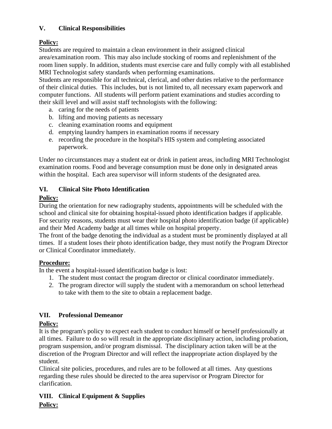#### **V. Clinical Responsibilities**

## **Policy:**

Students are required to maintain a clean environment in their assigned clinical area/examination room. This may also include stocking of rooms and replenishment of the room linen supply. In addition, students must exercise care and fully comply with all established MRI Technologist safety standards when performing examinations.

Students are responsible for all technical, clerical, and other duties relative to the performance of their clinical duties. This includes, but is not limited to, all necessary exam paperwork and computer functions. All students will perform patient examinations and studies according to their skill level and will assist staff technologists with the following:

- a. caring for the needs of patients
- b. lifting and moving patients as necessary
- c. cleaning examination rooms and equipment
- d. emptying laundry hampers in examination rooms if necessary
- e. recording the procedure in the hospital's HIS system and completing associated paperwork.

Under no circumstances may a student eat or drink in patient areas, including MRI Technologist examination rooms. Food and beverage consumption must be done only in designated areas within the hospital. Each area supervisor will inform students of the designated area.

## **VI. Clinical Site Photo Identification**

## **Policy:**

During the orientation for new radiography students, appointments will be scheduled with the school and clinical site for obtaining hospital-issued photo identification badges if applicable. For security reasons, students must wear their hospital photo identification badge (if applicable) and their Med Academy badge at all times while on hospital property.

The front of the badge denoting the individual as a student must be prominently displayed at all times. If a student loses their photo identification badge, they must notify the Program Director or Clinical Coordinator immediately.

#### **Procedure:**

In the event a hospital-issued identification badge is lost:

- 1. The student must contact the program director or clinical coordinator immediately.
- 2. The program director will supply the student with a memorandum on school letterhead to take with them to the site to obtain a replacement badge.

#### **VII. Professional Demeanor**

## **Policy:**

It is the program's policy to expect each student to conduct himself or herself professionally at all times. Failure to do so will result in the appropriate disciplinary action, including probation, program suspension, and/or program dismissal. The disciplinary action taken will be at the discretion of the Program Director and will reflect the inappropriate action displayed by the student.

Clinical site policies, procedures, and rules are to be followed at all times. Any questions regarding these rules should be directed to the area supervisor or Program Director for clarification.

#### **VIII. Clinical Equipment & Supplies Policy:**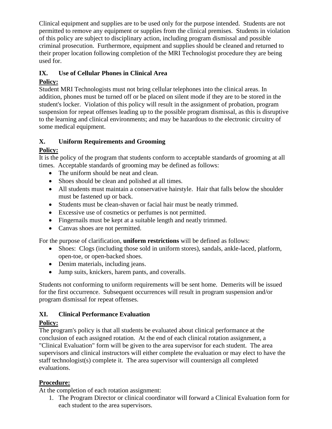Clinical equipment and supplies are to be used only for the purpose intended. Students are not permitted to remove any equipment or supplies from the clinical premises. Students in violation of this policy are subject to disciplinary action, including program dismissal and possible criminal prosecution. Furthermore, equipment and supplies should be cleaned and returned to their proper location following completion of the MRI Technologist procedure they are being used for.

#### **IX. Use of Cellular Phones in Clinical Area**

#### **Policy:**

Student MRI Technologists must not bring cellular telephones into the clinical areas. In addition, phones must be turned off or be placed on silent mode if they are to be stored in the student's locker. Violation of this policy will result in the assignment of probation, program suspension for repeat offenses leading up to the possible program dismissal, as this is disruptive to the learning and clinical environments; and may be hazardous to the electronic circuitry of some medical equipment.

#### **X. Uniform Requirements and Grooming**

#### **Policy:**

It is the policy of the program that students conform to acceptable standards of grooming at all times. Acceptable standards of grooming may be defined as follows:

- The uniform should be neat and clean.
- Shoes should be clean and polished at all times.
- All students must maintain a conservative hairstyle. Hair that falls below the shoulder must be fastened up or back.
- Students must be clean-shaven or facial hair must be neatly trimmed.
- Excessive use of cosmetics or perfumes is not permitted.
- Fingernails must be kept at a suitable length and neatly trimmed.
- Canvas shoes are not permitted.

For the purpose of clarification, **uniform restrictions** will be defined as follows:

- Shoes: Clogs (including those sold in uniform stores), sandals, ankle-laced, platform, open-toe, or open-backed shoes.
- Denim materials, including jeans.
- Jump suits, knickers, harem pants, and coveralls.

Students not conforming to uniform requirements will be sent home. Demerits will be issued for the first occurrence. Subsequent occurrences will result in program suspension and/or program dismissal for repeat offenses.

#### **XI. Clinical Performance Evaluation**

#### **Policy:**

The program's policy is that all students be evaluated about clinical performance at the conclusion of each assigned rotation. At the end of each clinical rotation assignment, a "Clinical Evaluation" form will be given to the area supervisor for each student. The area supervisors and clinical instructors will either complete the evaluation or may elect to have the staff technologist(s) complete it. The area supervisor will countersign all completed evaluations.

#### **Procedure:**

At the completion of each rotation assignment:

1. The Program Director or clinical coordinator will forward a Clinical Evaluation form for each student to the area supervisors.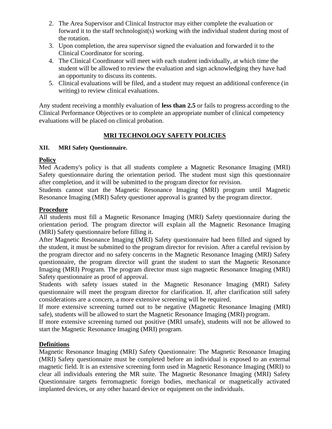- 2. The Area Supervisor and Clinical Instructor may either complete the evaluation or forward it to the staff technologist(s) working with the individual student during most of the rotation.
- 3. Upon completion, the area supervisor signed the evaluation and forwarded it to the Clinical Coordinator for scoring.
- 4. The Clinical Coordinator will meet with each student individually, at which time the student will be allowed to review the evaluation and sign acknowledging they have had an opportunity to discuss its contents.
- 5. Clinical evaluations will be filed, and a student may request an additional conference (in writing) to review clinical evaluations.

Any student receiving a monthly evaluation of **less than 2.5** or fails to progress according to the Clinical Performance Objectives or to complete an appropriate number of clinical competency evaluations will be placed on clinical probation.

#### **MRI TECHNOLOGY SAFETY POLICIES**

#### **XII. MRI Safety Questionnaire.**

#### **Policy**

Med Academy's policy is that all students complete a Magnetic Resonance Imaging (MRI) Safety questionnaire during the orientation period. The student must sign this questionnaire after completion, and it will be submitted to the program director for revision.

Students cannot start the Magnetic Resonance Imaging (MRI) program until Magnetic Resonance Imaging (MRI) Safety questioner approval is granted by the program director.

#### **Procedure**

All students must fill a Magnetic Resonance Imaging (MRI) Safety questionnaire during the orientation period. The program director will explain all the Magnetic Resonance Imaging (MRI) Safety questionnaire before filling it.

After Magnetic Resonance Imaging (MRI) Safety questionnaire had been filled and signed by the student, it must be submitted to the program director for revision. After a careful revision by the program director and no safety concerns in the Magnetic Resonance Imaging (MRI) Safety questionnaire, the program director will grant the student to start the Magnetic Resonance Imaging (MRI) Program. The program director must sign magnetic Resonance Imaging (MRI) Safety questionnaire as proof of approval.

Students with safety issues stated in the Magnetic Resonance Imaging (MRI) Safety questionnaire will meet the program director for clarification. If, after clarification still safety considerations are a concern, a more extensive screening will be required.

If more extensive screening turned out to be negative (Magnetic Resonance Imaging (MRI) safe), students will be allowed to start the Magnetic Resonance Imaging (MRI) program.

If more extensive screening turned out positive (MRI unsafe), students will not be allowed to start the Magnetic Resonance Imaging (MRI) program.

#### **Definitions**

Magnetic Resonance Imaging (MRI) Safety Questionnaire: The Magnetic Resonance Imaging (MRI) Safety questionnaire must be completed before an individual is exposed to an external magnetic field. It is an extensive screening form used in Magnetic Resonance Imaging (MRI) to clear all individuals entering the MR suite. The Magnetic Resonance Imaging (MRI) Safety Questionnaire targets ferromagnetic foreign bodies, mechanical or magnetically activated implanted devices, or any other hazard device or equipment on the individuals.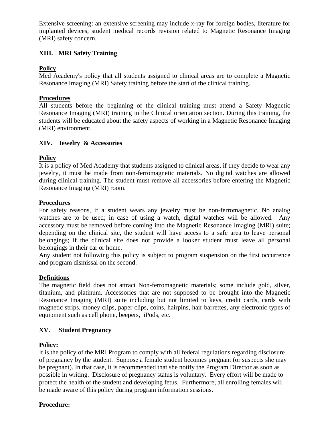Extensive screening: an extensive screening may include x-ray for foreign bodies, literature for implanted devices, student medical records revision related to Magnetic Resonance Imaging (MRI) safety concern.

#### **XIII. MRI Safety Training**

#### **Policy**

Med Academy's policy that all students assigned to clinical areas are to complete a Magnetic Resonance Imaging (MRI) Safety training before the start of the clinical training.

#### **Procedures**

All students before the beginning of the clinical training must attend a Safety Magnetic Resonance Imaging (MRI) training in the Clinical orientation section. During this training, the students will be educated about the safety aspects of working in a Magnetic Resonance Imaging (MRI) environment.

#### **XIV. Jewelry & Accessories**

#### **Policy**

It is a policy of Med Academy that students assigned to clinical areas, if they decide to wear any jewelry, it must be made from non-ferromagnetic materials. No digital watches are allowed during clinical training. The student must remove all accessories before entering the Magnetic Resonance Imaging (MRI) room.

#### **Procedures**

For safety reasons, if a student wears any jewelry must be non-ferromagnetic. No analog watches are to be used; in case of using a watch, digital watches will be allowed. Any accessory must be removed before coming into the Magnetic Resonance Imaging (MRI) suite; depending on the clinical site, the student will have access to a safe area to leave personal belongings; if the clinical site does not provide a looker student must leave all personal belongings in their car or home.

Any student not following this policy is subject to program suspension on the first occurrence and program dismissal on the second.

#### **Definitions**

The magnetic field does not attract Non-ferromagnetic materials; some include gold, silver, titanium, and platinum. Accessories that are not supposed to be brought into the Magnetic Resonance Imaging (MRI) suite including but not limited to keys, credit cards, cards with magnetic strips, money clips, paper clips, coins, hairpins, hair barrettes, any electronic types of equipment such as cell phone, beepers, iPods, etc.

#### **XV. Student Pregnancy**

#### **Policy:**

It is the policy of the MRI Program to comply with all federal regulations regarding disclosure of pregnancy by the student. Suppose a female student becomes pregnant (or suspects she may be pregnant). In that case, it is recommended that she notify the Program Director as soon as possible in writing. Disclosure of pregnancy status is voluntary. Every effort will be made to protect the health of the student and developing fetus. Furthermore, all enrolling females will be made aware of this policy during program information sessions.

#### **Procedure:**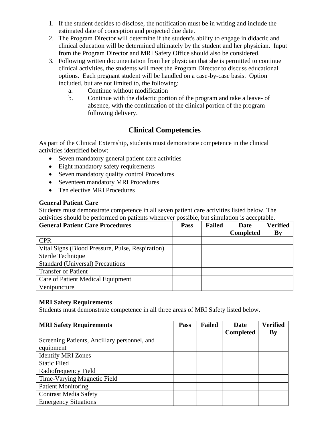- 1. If the student decides to disclose, the notification must be in writing and include the estimated date of conception and projected due date.
- 2. The Program Director will determine if the student's ability to engage in didactic and clinical education will be determined ultimately by the student and her physician. Input from the Program Director and MRI Safety Office should also be considered.
- 3. Following written documentation from her physician that she is permitted to continue clinical activities, the students will meet the Program Director to discuss educational options. Each pregnant student will be handled on a case-by-case basis. Option included, but are not limited to, the following:
	- a. Continue without modification
	- b. Continue with the didactic portion of the program and take a leave- of absence, with the continuation of the clinical portion of the program following delivery.

## **Clinical Competencies**

As part of the Clinical Externship, students must demonstrate competence in the clinical activities identified below:

- Seven mandatory general patient care activities
- Eight mandatory safety requirements
- Seven mandatory quality control Procedures
- Seventeen mandatory MRI Procedures
- Ten elective MRI Procedures

#### **General Patient Care**

Students must demonstrate competence in all seven patient care activities listed below. The activities should be performed on patients whenever possible, but simulation is acceptable.

| <b>General Patient Care Procedures</b>           | <b>Pass</b> | <b>Failed</b> | Date             | <b>Verified</b> |
|--------------------------------------------------|-------------|---------------|------------------|-----------------|
|                                                  |             |               | <b>Completed</b> | By              |
| <b>CPR</b>                                       |             |               |                  |                 |
| Vital Signs (Blood Pressure, Pulse, Respiration) |             |               |                  |                 |
| Sterile Technique                                |             |               |                  |                 |
| <b>Standard (Universal) Precautions</b>          |             |               |                  |                 |
| <b>Transfer of Patient</b>                       |             |               |                  |                 |
| Care of Patient Medical Equipment                |             |               |                  |                 |
| Venipuncture                                     |             |               |                  |                 |

#### **MRI Safety Requirements**

Students must demonstrate competence in all three areas of MRI Safety listed below.

| <b>MRI Safety Requirements</b>               | <b>Pass</b> | <b>Failed</b> | <b>Date</b>      | <b>Verified</b> |
|----------------------------------------------|-------------|---------------|------------------|-----------------|
|                                              |             |               | <b>Completed</b> | By              |
| Screening Patients, Ancillary personnel, and |             |               |                  |                 |
| equipment                                    |             |               |                  |                 |
| <b>Identify MRI Zones</b>                    |             |               |                  |                 |
| <b>Static Filed</b>                          |             |               |                  |                 |
| Radiofrequency Field                         |             |               |                  |                 |
| Time-Varying Magnetic Field                  |             |               |                  |                 |
| <b>Patient Monitoring</b>                    |             |               |                  |                 |
| <b>Contrast Media Safety</b>                 |             |               |                  |                 |
| <b>Emergency Situations</b>                  |             |               |                  |                 |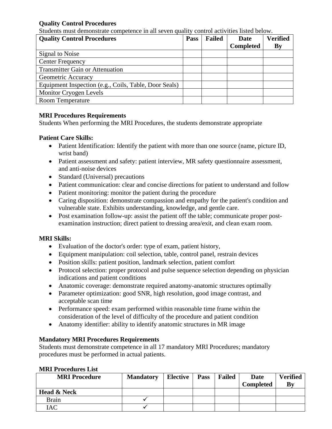#### **Quality Control Procedures**

Students must demonstrate competence in all seven quality control activities listed below.

| <b>Quality Control Procedures</b>                     | <b>Pass</b> | <b>Failed</b> | <b>Date</b>      | <b>Verified</b> |
|-------------------------------------------------------|-------------|---------------|------------------|-----------------|
|                                                       |             |               | <b>Completed</b> | By              |
| Signal to Noise                                       |             |               |                  |                 |
| <b>Center Frequency</b>                               |             |               |                  |                 |
| <b>Transmitter Gain or Attenuation</b>                |             |               |                  |                 |
| Geometric Accuracy                                    |             |               |                  |                 |
| Equipment Inspection (e.g., Coils, Table, Door Seals) |             |               |                  |                 |
| Monitor Cryogen Levels                                |             |               |                  |                 |
| <b>Room Temperature</b>                               |             |               |                  |                 |

#### **MRI Procedures Requirements**

Students When performing the MRI Procedures, the students demonstrate appropriate

#### **Patient Care Skills:**

- Patient Identification: Identify the patient with more than one source (name, picture ID, wrist band)
- Patient assessment and safety: patient interview, MR safety questionnaire assessment, and anti-noise devices
- Standard (Universal) precautions
- Patient communication: clear and concise directions for patient to understand and follow
- Patient monitoring: monitor the patient during the procedure
- Caring disposition: demonstrate compassion and empathy for the patient's condition and vulnerable state. Exhibits understanding, knowledge, and gentle care.
- Post examination follow-up: assist the patient off the table; communicate proper postexamination instruction; direct patient to dressing area/exit, and clean exam room.

#### **MRI Skills:**

- Evaluation of the doctor's order: type of exam, patient history,
- Equipment manipulation: coil selection, table, control panel, restrain devices
- Position skills: patient position, landmark selection, patient comfort
- Protocol selection: proper protocol and pulse sequence selection depending on physician indications and patient conditions
- Anatomic coverage: demonstrate required anatomy-anatomic structures optimally
- Parameter optimization: good SNR, high resolution, good image contrast, and acceptable scan time
- Performance speed: exam performed within reasonable time frame within the consideration of the level of difficulty of the procedure and patient condition
- Anatomy identifier: ability to identify anatomic structures in MR image

#### **Mandatory MRI Procedures Requirements**

Students must demonstrate competence in all 17 mandatory MRI Procedures; mandatory procedures must be performed in actual patients.

| <b>MRI Procedure</b>   | <b>Mandatory</b> | Elective | <b>Pass</b> | <b>Failed</b> | Date<br><b>Completed</b> | <b>Verified</b><br>By |
|------------------------|------------------|----------|-------------|---------------|--------------------------|-----------------------|
| <b>Head &amp; Neck</b> |                  |          |             |               |                          |                       |
| <b>Brain</b>           |                  |          |             |               |                          |                       |
| IAC                    |                  |          |             |               |                          |                       |

#### **MRI Procedures List**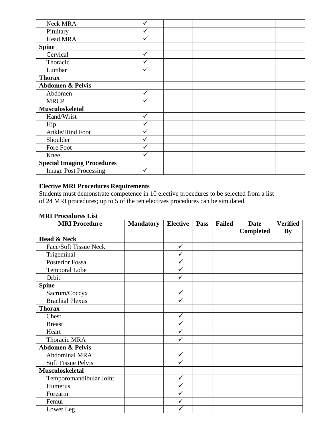| Neck MRA                          |   |  |  |  |
|-----------------------------------|---|--|--|--|
| Pituitary                         |   |  |  |  |
| Head MRA                          |   |  |  |  |
| <b>Spine</b>                      |   |  |  |  |
| Cervical                          | ✓ |  |  |  |
| Thoracic                          |   |  |  |  |
| Lumbar                            |   |  |  |  |
| <b>Thorax</b>                     |   |  |  |  |
| <b>Abdomen &amp; Pelvis</b>       |   |  |  |  |
| Abdomen                           |   |  |  |  |
| <b>MRCP</b>                       |   |  |  |  |
| <b>Musculoskeletal</b>            |   |  |  |  |
| Hand/Wrist                        | ✓ |  |  |  |
| Hip                               |   |  |  |  |
| Ankle/Hind Foot                   |   |  |  |  |
| Shoulder                          | ✓ |  |  |  |
| Fore Foot                         |   |  |  |  |
| Knee                              |   |  |  |  |
| <b>Special Imaging Procedures</b> |   |  |  |  |
| <b>Image Post Processing</b>      |   |  |  |  |

#### **Elective MRI Procedures Requirements**

Students must demonstrate competence in 10 elective procedures to be selected from a list of 24 MRI procedures; up to 5 of the ten electives procedures can be simulated.

| <b>MRI Procedures List</b> |  |
|----------------------------|--|
|                            |  |

| <b>MRI Procedure</b>        | <b>Mandatory</b> | <b>Elective</b> | Pass | <b>Failed</b> | <b>Date</b>      | <b>Verified</b> |
|-----------------------------|------------------|-----------------|------|---------------|------------------|-----------------|
|                             |                  |                 |      |               | <b>Completed</b> | By              |
| <b>Head &amp; Neck</b>      |                  |                 |      |               |                  |                 |
| Face/Soft Tissue Neck       |                  | $\checkmark$    |      |               |                  |                 |
| Trigeminal                  |                  | $\checkmark$    |      |               |                  |                 |
| Posterior Fossa             |                  | ✓               |      |               |                  |                 |
| <b>Temporal Lobe</b>        |                  | $\checkmark$    |      |               |                  |                 |
| Orbit                       |                  | ✓               |      |               |                  |                 |
| <b>Spine</b>                |                  |                 |      |               |                  |                 |
| Sacrum/Coccyx               |                  | $\checkmark$    |      |               |                  |                 |
| <b>Brachial Plexus</b>      |                  | ✓               |      |               |                  |                 |
| <b>Thorax</b>               |                  |                 |      |               |                  |                 |
| Chest                       |                  | ✓               |      |               |                  |                 |
| <b>Breast</b>               |                  | ✓               |      |               |                  |                 |
| Heart                       |                  | $\checkmark$    |      |               |                  |                 |
| Thoracic MRA                |                  | ✓               |      |               |                  |                 |
| <b>Abdomen &amp; Pelvis</b> |                  |                 |      |               |                  |                 |
| Abdominal MRA               |                  | $\checkmark$    |      |               |                  |                 |
| <b>Soft Tissue Pelvis</b>   |                  | $\checkmark$    |      |               |                  |                 |
| <b>Musculoskeletal</b>      |                  |                 |      |               |                  |                 |
| Temporomandibular Joint     |                  | $\checkmark$    |      |               |                  |                 |
| Humerus                     |                  | $\checkmark$    |      |               |                  |                 |
| Forearm                     |                  | $\checkmark$    |      |               |                  |                 |
| Femur                       |                  | $\checkmark$    |      |               |                  |                 |
| Lower Leg                   |                  | ✓               |      |               |                  |                 |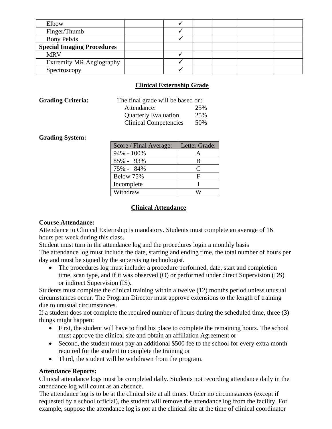| Elbow                             |  |  |  |
|-----------------------------------|--|--|--|
| Finger/Thumb                      |  |  |  |
| <b>Bony Pelvis</b>                |  |  |  |
| <b>Special Imaging Procedures</b> |  |  |  |
| <b>MRV</b>                        |  |  |  |
| <b>Extremity MR Angiography</b>   |  |  |  |
| Spectroscopy                      |  |  |  |

#### **Clinical Externship Grade**

| The final grade will be based on: |
|-----------------------------------|
| 25%                               |
| 25%                               |
| 50%                               |
|                                   |

#### **Grading System:**

| Score / Final Average: | Letter Grade: |
|------------------------|---------------|
| 94% - 100%             | А             |
| 85% - 93%              | B             |
| 75% - 84%              | €             |
| Below 75%              | F             |
| Incomplete             |               |
| Withdraw               |               |

#### **Clinical Attendance**

#### **Course Attendance:**

Attendance to Clinical Externship is mandatory. Students must complete an average of 16 hours per week during this class.

Student must turn in the attendance log and the procedures login a monthly basis

The attendance log must include the date, starting and ending time, the total number of hours per day and must be signed by the supervising technologist.

• The procedures log must include: a procedure performed, date, start and completion time, scan type, and if it was observed (O) or performed under direct Supervision (DS) or indirect Supervision (IS).

Students must complete the clinical training within a twelve (12) months period unless unusual circumstances occur. The Program Director must approve extensions to the length of training due to unusual circumstances.

If a student does not complete the required number of hours during the scheduled time, three (3) things might happen:

- First, the student will have to find his place to complete the remaining hours. The school must approve the clinical site and obtain an affiliation Agreement or
- Second, the student must pay an additional \$500 fee to the school for every extra month required for the student to complete the training or
- Third, the student will be withdrawn from the program.

#### **Attendance Reports:**

Clinical attendance logs must be completed daily. Students not recording attendance daily in the attendance log will count as an absence.

The attendance log is to be at the clinical site at all times. Under no circumstances (except if requested by a school official), the student will remove the attendance log from the facility. For example, suppose the attendance log is not at the clinical site at the time of clinical coordinator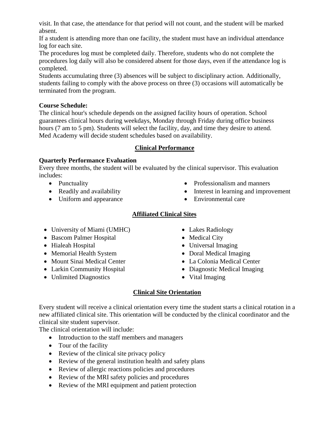visit. In that case, the attendance for that period will not count, and the student will be marked absent.

If a student is attending more than one facility, the student must have an individual attendance log for each site.

The procedures log must be completed daily. Therefore, students who do not complete the procedures log daily will also be considered absent for those days, even if the attendance log is completed.

Students accumulating three (3) absences will be subject to disciplinary action. Additionally, students failing to comply with the above process on three (3) occasions will automatically be terminated from the program.

#### **Course Schedule:**

The clinical hour's schedule depends on the assigned facility hours of operation. School guarantees clinical hours during weekdays, Monday through Friday during office business hours (7 am to 5 pm). Students will select the facility, day, and time they desire to attend. Med Academy will decide student schedules based on availability.

#### **Clinical Performance**

#### **Quarterly Performance Evaluation**

Every three months, the student will be evaluated by the clinical supervisor. This evaluation includes:

- Punctuality
- Readily and availability
- Uniform and appearance
- Professionalism and manners
- Interest in learning and improvement
- Environmental care

### **Affiliated Clinical Sites**

- University of Miami (UMHC)
- Bascom Palmer Hospital
- Hialeah Hospital
- Memorial Health System
- Mount Sinai Medical Center
- Larkin Community Hospital
- Unlimited Diagnostics
- Lakes Radiology
- Medical City
- Universal Imaging
- Doral Medical Imaging
- La Colonia Medical Center
- Diagnostic Medical Imaging
- Vital Imaging

#### **Clinical Site Orientation**

Every student will receive a clinical orientation every time the student starts a clinical rotation in a new affiliated clinical site. This orientation will be conducted by the clinical coordinator and the clinical site student supervisor.

The clinical orientation will include:

- Introduction to the staff members and managers
- Tour of the facility
- Review of the clinical site privacy policy
- Review of the general institution health and safety plans
- Review of allergic reactions policies and procedures
- Review of the MRI safety policies and procedures
- Review of the MRI equipment and patient protection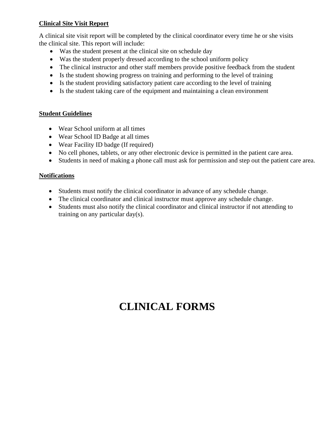#### **Clinical Site Visit Report**

A clinical site visit report will be completed by the clinical coordinator every time he or she visits the clinical site. This report will include:

- Was the student present at the clinical site on schedule day
- Was the student properly dressed according to the school uniform policy
- The clinical instructor and other staff members provide positive feedback from the student
- Is the student showing progress on training and performing to the level of training
- Is the student providing satisfactory patient care according to the level of training
- Is the student taking care of the equipment and maintaining a clean environment

#### **Student Guidelines**

- Wear School uniform at all times
- Wear School ID Badge at all times
- Wear Facility ID badge (If required)
- No cell phones, tablets, or any other electronic device is permitted in the patient care area.
- Students in need of making a phone call must ask for permission and step out the patient care area.

#### **Notifications**

- Students must notify the clinical coordinator in advance of any schedule change.
- The clinical coordinator and clinical instructor must approve any schedule change.
- Students must also notify the clinical coordinator and clinical instructor if not attending to training on any particular day(s).

## **CLINICAL FORMS**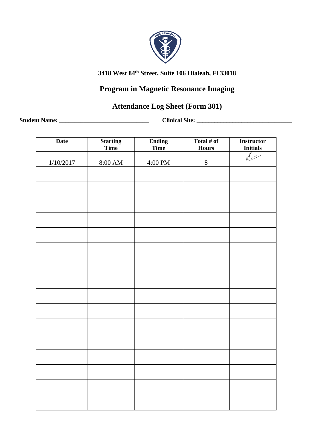

## **Program in Magnetic Resonance Imaging**

## **Attendance Log Sheet (Form 301)**

**Student Name: \_\_\_\_\_\_\_\_\_\_\_\_\_\_\_\_\_\_\_\_\_\_\_\_\_\_\_\_\_\_ Clinical Site: \_\_\_\_\_\_\_\_\_\_\_\_\_\_\_\_\_\_\_\_\_\_\_\_\_\_\_\_\_\_\_\_**

| <b>Date</b> | <b>Starting</b><br>Time | <b>Ending</b><br>Time | Total $#$ of<br><b>Hours</b> | <b>Instructor</b><br><b>Initials</b> |
|-------------|-------------------------|-----------------------|------------------------------|--------------------------------------|
| 1/10/2017   | $8:00~\mathrm{AM}$      | 4:00 PM               | $8\,$                        |                                      |
|             |                         |                       |                              |                                      |
|             |                         |                       |                              |                                      |
|             |                         |                       |                              |                                      |
|             |                         |                       |                              |                                      |
|             |                         |                       |                              |                                      |
|             |                         |                       |                              |                                      |
|             |                         |                       |                              |                                      |
|             |                         |                       |                              |                                      |
|             |                         |                       |                              |                                      |
|             |                         |                       |                              |                                      |
|             |                         |                       |                              |                                      |
|             |                         |                       |                              |                                      |
|             |                         |                       |                              |                                      |
|             |                         |                       |                              |                                      |
|             |                         |                       |                              |                                      |
|             |                         |                       |                              |                                      |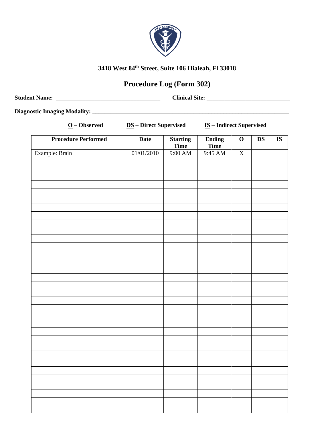

## **Procedure Log (Form 302)**

| <b>Student Name:</b> | <b>Clinical Site:</b> |  |
|----------------------|-----------------------|--|
|                      |                       |  |

**Diagnostic Imaging Modality: \_\_\_\_\_\_\_\_\_\_\_\_\_\_\_\_\_\_\_\_\_\_\_\_\_\_\_\_\_\_\_\_\_\_\_\_\_\_\_\_\_\_\_\_\_\_\_\_\_\_\_\_\_\_\_\_\_\_\_\_\_\_\_\_\_\_**

| $\underline{O}$ – Observed | <b>DS</b> – Direct Supervised |                                | <b>IS-Indirect Supervised</b> |             |               |                        |
|----------------------------|-------------------------------|--------------------------------|-------------------------------|-------------|---------------|------------------------|
| <b>Procedure Performed</b> | <b>Date</b>                   | <b>Starting</b><br><b>Time</b> | <b>Ending</b><br><b>Time</b>  | $\mathbf O$ | $\mathbf{DS}$ | $\overline{\text{IS}}$ |
| Example: Brain             | 01/01/2010                    | $9:00$ AM                      | 9:45 AM                       | $\mathbf X$ |               |                        |
|                            |                               |                                |                               |             |               |                        |
|                            |                               |                                |                               |             |               |                        |
|                            |                               |                                |                               |             |               |                        |
|                            |                               |                                |                               |             |               |                        |
|                            |                               |                                |                               |             |               |                        |
|                            |                               |                                |                               |             |               |                        |
|                            |                               |                                |                               |             |               |                        |
|                            |                               |                                |                               |             |               |                        |
|                            |                               |                                |                               |             |               |                        |
|                            |                               |                                |                               |             |               |                        |
|                            |                               |                                |                               |             |               |                        |
|                            |                               |                                |                               |             |               |                        |
|                            |                               |                                |                               |             |               |                        |
|                            |                               |                                |                               |             |               |                        |
|                            |                               |                                |                               |             |               |                        |
|                            |                               |                                |                               |             |               |                        |
|                            |                               |                                |                               |             |               |                        |
|                            |                               |                                |                               |             |               |                        |
|                            |                               |                                |                               |             |               |                        |
|                            |                               |                                |                               |             |               |                        |
|                            |                               |                                |                               |             |               |                        |
|                            |                               |                                |                               |             |               |                        |
|                            |                               |                                |                               |             |               |                        |
|                            |                               |                                |                               |             |               |                        |
|                            |                               |                                |                               |             |               |                        |
|                            |                               |                                |                               |             |               |                        |
|                            |                               |                                |                               |             |               |                        |
|                            |                               |                                |                               |             |               |                        |
|                            |                               |                                |                               |             |               |                        |
|                            |                               |                                |                               |             |               |                        |
|                            |                               |                                |                               |             |               |                        |
|                            |                               |                                |                               |             |               |                        |
|                            |                               |                                |                               |             |               |                        |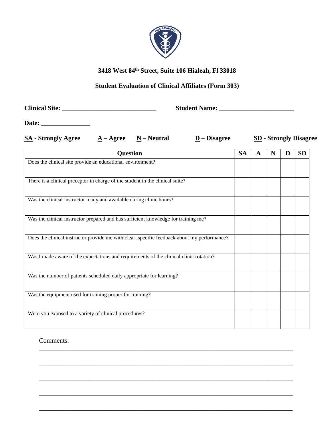

#### **Student Evaluation of Clinical Affiliates (Form 303)**

**Clinical Site: \_\_\_\_\_\_\_\_\_\_\_\_\_\_\_\_\_\_\_\_\_\_\_\_\_\_\_\_\_ Student Name: \_\_\_\_\_\_\_\_\_\_\_\_\_\_\_\_\_\_\_\_\_\_\_**

**Date: \_\_\_\_\_\_\_\_\_\_\_\_\_\_\_**

| <b>SA</b> - Strongly Agree<br>$\underline{A} - \underline{Agree}$ $\underline{N} - \underline{Neutral}$ | $D - Disagree$ | <b>SD</b> - Strongly Disagree |
|---------------------------------------------------------------------------------------------------------|----------------|-------------------------------|
|---------------------------------------------------------------------------------------------------------|----------------|-------------------------------|

| <b>Question</b>                                                                             | <b>SA</b> | A | N | D | <b>SD</b> |
|---------------------------------------------------------------------------------------------|-----------|---|---|---|-----------|
| Does the clinical site provide an educational environment?                                  |           |   |   |   |           |
|                                                                                             |           |   |   |   |           |
| There is a clinical preceptor in charge of the student in the clinical suite?               |           |   |   |   |           |
|                                                                                             |           |   |   |   |           |
| Was the clinical instructor ready and available during clinic hours?                        |           |   |   |   |           |
|                                                                                             |           |   |   |   |           |
| Was the clinical instructor prepared and has sufficient knowledge for training me?          |           |   |   |   |           |
|                                                                                             |           |   |   |   |           |
| Does the clinical instructor provide me with clear, specific feedback about my performance? |           |   |   |   |           |
|                                                                                             |           |   |   |   |           |
| Was I made aware of the expectations and requirements of the clinical clinic rotation?      |           |   |   |   |           |
|                                                                                             |           |   |   |   |           |
| Was the number of patients scheduled daily appropriate for learning?                        |           |   |   |   |           |
|                                                                                             |           |   |   |   |           |
| Was the equipment used for training proper for training?                                    |           |   |   |   |           |
|                                                                                             |           |   |   |   |           |
| Were you exposed to a variety of clinical procedures?                                       |           |   |   |   |           |
|                                                                                             |           |   |   |   |           |

\_\_\_\_\_\_\_\_\_\_\_\_\_\_\_\_\_\_\_\_\_\_\_\_\_\_\_\_\_\_\_\_\_\_\_\_\_\_\_\_\_\_\_\_\_\_\_\_\_\_\_\_\_\_\_\_\_\_\_\_\_\_\_\_\_\_\_\_\_\_\_\_\_\_\_\_\_\_

\_\_\_\_\_\_\_\_\_\_\_\_\_\_\_\_\_\_\_\_\_\_\_\_\_\_\_\_\_\_\_\_\_\_\_\_\_\_\_\_\_\_\_\_\_\_\_\_\_\_\_\_\_\_\_\_\_\_\_\_\_\_\_\_\_\_\_\_\_\_\_\_\_\_\_\_\_\_

\_\_\_\_\_\_\_\_\_\_\_\_\_\_\_\_\_\_\_\_\_\_\_\_\_\_\_\_\_\_\_\_\_\_\_\_\_\_\_\_\_\_\_\_\_\_\_\_\_\_\_\_\_\_\_\_\_\_\_\_\_\_\_\_\_\_\_\_\_\_\_\_\_\_\_\_\_\_

\_\_\_\_\_\_\_\_\_\_\_\_\_\_\_\_\_\_\_\_\_\_\_\_\_\_\_\_\_\_\_\_\_\_\_\_\_\_\_\_\_\_\_\_\_\_\_\_\_\_\_\_\_\_\_\_\_\_\_\_\_\_\_\_\_\_\_\_\_\_\_\_\_\_\_\_\_\_

\_\_\_\_\_\_\_\_\_\_\_\_\_\_\_\_\_\_\_\_\_\_\_\_\_\_\_\_\_\_\_\_\_\_\_\_\_\_\_\_\_\_\_\_\_\_\_\_\_\_\_\_\_\_\_\_\_\_\_\_\_\_\_\_\_\_\_\_\_\_\_\_\_\_\_\_\_\_

Comments: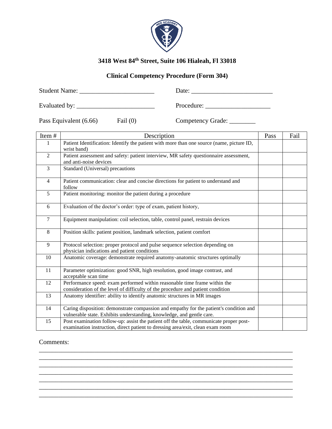

#### **Clinical Competency Procedure (Form 304)**

Student Name: \_\_\_\_\_\_\_\_\_\_\_\_\_\_\_\_\_\_\_\_\_\_\_ Date: \_\_\_\_\_\_\_\_\_\_\_\_\_\_\_\_\_\_\_\_\_\_\_\_\_

Evaluated by: \_\_\_\_\_\_\_\_\_\_\_\_\_\_\_\_\_\_\_\_\_\_\_\_ Procedure: \_\_\_\_\_\_\_\_\_\_\_\_\_\_\_\_\_\_\_\_

Pass Equivalent (6.66) Fail (0) Competency Grade: \_\_\_\_\_\_\_\_\_

| Item#          | Description                                                                                                                                                              | Pass | Fail |
|----------------|--------------------------------------------------------------------------------------------------------------------------------------------------------------------------|------|------|
| 1              | Patient Identification: Identify the patient with more than one source (name, picture ID,<br>wrist band)                                                                 |      |      |
| $\overline{2}$ | Patient assessment and safety: patient interview, MR safety questionnaire assessment,<br>and anti-noise devices                                                          |      |      |
| $\overline{3}$ | Standard (Universal) precautions                                                                                                                                         |      |      |
| $\overline{4}$ | Patient communication: clear and concise directions for patient to understand and<br>follow                                                                              |      |      |
| 5              | Patient monitoring: monitor the patient during a procedure                                                                                                               |      |      |
| 6              | Evaluation of the doctor's order: type of exam, patient history,                                                                                                         |      |      |
| $\overline{7}$ | Equipment manipulation: coil selection, table, control panel, restrain devices                                                                                           |      |      |
| 8              | Position skills: patient position, landmark selection, patient comfort                                                                                                   |      |      |
| 9              | Protocol selection: proper protocol and pulse sequence selection depending on<br>physician indications and patient conditions                                            |      |      |
| 10             | Anatomic coverage: demonstrate required anatomy-anatomic structures optimally                                                                                            |      |      |
| 11             | Parameter optimization: good SNR, high resolution, good image contrast, and<br>acceptable scan time                                                                      |      |      |
| 12             | Performance speed: exam performed within reasonable time frame within the<br>consideration of the level of difficulty of the procedure and patient condition             |      |      |
| 13             | Anatomy identifier: ability to identify anatomic structures in MR images                                                                                                 |      |      |
| 14             | Caring disposition: demonstrate compassion and empathy for the patient's condition and<br>vulnerable state. Exhibits understanding, knowledge, and gentle care.          |      |      |
| 15             | Post examination follow-up: assist the patient off the table, communicate proper post-<br>examination instruction, direct patient to dressing area/exit, clean exam room |      |      |

\_\_\_\_\_\_\_\_\_\_\_\_\_\_\_\_\_\_\_\_\_\_\_\_\_\_\_\_\_\_\_\_\_\_\_\_\_\_\_\_\_\_\_\_\_\_\_\_\_\_\_\_\_\_\_\_\_\_\_\_\_\_\_\_\_\_\_\_\_\_\_\_\_\_\_\_\_\_ \_\_\_\_\_\_\_\_\_\_\_\_\_\_\_\_\_\_\_\_\_\_\_\_\_\_\_\_\_\_\_\_\_\_\_\_\_\_\_\_\_\_\_\_\_\_\_\_\_\_\_\_\_\_\_\_\_\_\_\_\_\_\_\_\_\_\_\_\_\_\_\_\_\_\_\_\_\_ \_\_\_\_\_\_\_\_\_\_\_\_\_\_\_\_\_\_\_\_\_\_\_\_\_\_\_\_\_\_\_\_\_\_\_\_\_\_\_\_\_\_\_\_\_\_\_\_\_\_\_\_\_\_\_\_\_\_\_\_\_\_\_\_\_\_\_\_\_\_\_\_\_\_\_\_\_\_ \_\_\_\_\_\_\_\_\_\_\_\_\_\_\_\_\_\_\_\_\_\_\_\_\_\_\_\_\_\_\_\_\_\_\_\_\_\_\_\_\_\_\_\_\_\_\_\_\_\_\_\_\_\_\_\_\_\_\_\_\_\_\_\_\_\_\_\_\_\_\_\_\_\_\_\_\_\_ \_\_\_\_\_\_\_\_\_\_\_\_\_\_\_\_\_\_\_\_\_\_\_\_\_\_\_\_\_\_\_\_\_\_\_\_\_\_\_\_\_\_\_\_\_\_\_\_\_\_\_\_\_\_\_\_\_\_\_\_\_\_\_\_\_\_\_\_\_\_\_\_\_\_\_\_\_\_ \_\_\_\_\_\_\_\_\_\_\_\_\_\_\_\_\_\_\_\_\_\_\_\_\_\_\_\_\_\_\_\_\_\_\_\_\_\_\_\_\_\_\_\_\_\_\_\_\_\_\_\_\_\_\_\_\_\_\_\_\_\_\_\_\_\_\_\_\_\_\_\_\_\_\_\_\_\_ \_\_\_\_\_\_\_\_\_\_\_\_\_\_\_\_\_\_\_\_\_\_\_\_\_\_\_\_\_\_\_\_\_\_\_\_\_\_\_\_\_\_\_\_\_\_\_\_\_\_\_\_\_\_\_\_\_\_\_\_\_\_\_\_\_\_\_\_\_\_\_\_\_\_\_\_\_\_

#### Comments: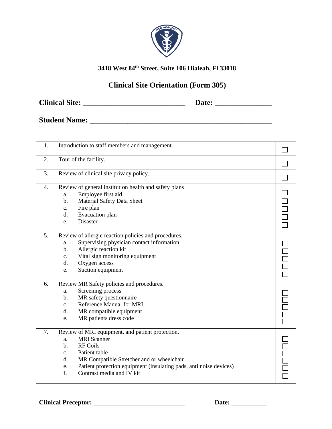

## **Clinical Site Orientation (Form 305)**

**Clinical Site: \_\_\_\_\_\_\_\_\_\_\_\_\_\_\_\_\_\_\_\_\_\_\_\_\_\_\_ Date: \_\_\_\_\_\_\_\_\_\_\_\_\_\_\_**

**Student Name: \_\_\_\_\_\_\_\_\_\_\_\_\_\_\_\_\_\_\_\_\_\_\_\_\_\_\_\_\_\_\_\_\_\_\_\_\_\_\_\_\_\_\_\_\_\_\_\_**

| 1. | Introduction to staff members and management.                                                                                                                                                                                                                                                              |  |
|----|------------------------------------------------------------------------------------------------------------------------------------------------------------------------------------------------------------------------------------------------------------------------------------------------------------|--|
| 2. | Tour of the facility.                                                                                                                                                                                                                                                                                      |  |
| 3. | Review of clinical site privacy policy.                                                                                                                                                                                                                                                                    |  |
| 4. | Review of general institution health and safety plans<br>Employee first aid<br>a.<br>Material Safety Data Sheet<br>b.<br>Fire plan<br>c.<br>Evacuation plan<br>d.<br><b>Disaster</b><br>e.                                                                                                                 |  |
| 5. | Review of allergic reaction policies and procedures.<br>Supervising physician contact information<br>a.<br>Allergic reaction kit<br>b.<br>Vital sign monitoring equipment<br>c.<br>Oxygen access<br>d.<br>Suction equipment<br>e.                                                                          |  |
| 6. | Review MR Safety policies and procedures.<br>Screening process<br>a.<br>MR safety questionnaire<br>b.<br><b>Reference Manual for MRI</b><br>$\mathbf{c}$ .<br>MR compatible equipment<br>d.<br>MR patients dress code<br>e.                                                                                |  |
| 7. | Review of MRI equipment, and patient protection.<br><b>MRI</b> Scanner<br>a.<br><b>RF Coils</b><br>b.<br>Patient table<br>C <sub>1</sub><br>MR Compatible Stretcher and or wheelchair<br>d.<br>Patient protection equipment (insulating pads, anti noise devices)<br>e.<br>f.<br>Contrast media and IV kit |  |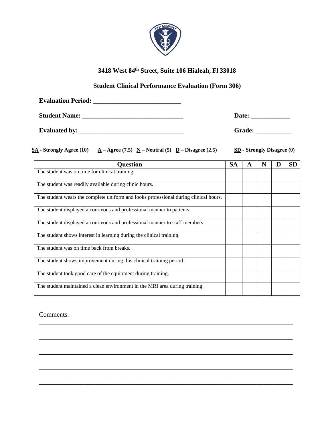

#### **Student Clinical Performance Evaluation (Form 306)**

| <b>Evaluation Period:</b> |               |
|---------------------------|---------------|
| <b>Student Name:</b>      | Date:         |
| <b>Evaluated by:</b>      | <b>Grade:</b> |

**SA - Strongly Agree (10) A**  $-$  **Agree (7.5) N**  $-$  **Neutral (5) D**  $-$  **Disagree (2.5) SD**  $-$  **Strongly Disagree (0)** 

| <b>Ouestion</b>                                                                      | <b>SA</b> | A | N | D | <b>SD</b> |
|--------------------------------------------------------------------------------------|-----------|---|---|---|-----------|
| The student was on time for clinical training.                                       |           |   |   |   |           |
| The student was readily available during clinic hours.                               |           |   |   |   |           |
| The student wears the complete uniform and looks professional during clinical hours. |           |   |   |   |           |
| The student displayed a courteous and professional manner to patients.               |           |   |   |   |           |
| The student displayed a courteous and professional manner to staff members.          |           |   |   |   |           |
| The student shows interest in learning during the clinical training.                 |           |   |   |   |           |
| The student was on time back from breaks.                                            |           |   |   |   |           |
| The student shows improvement during this clinical training period.                  |           |   |   |   |           |
| The student took good care of the equipment during training.                         |           |   |   |   |           |
| The student maintained a clean environment in the MRI area during training.          |           |   |   |   |           |

\_\_\_\_\_\_\_\_\_\_\_\_\_\_\_\_\_\_\_\_\_\_\_\_\_\_\_\_\_\_\_\_\_\_\_\_\_\_\_\_\_\_\_\_\_\_\_\_\_\_\_\_\_\_\_\_\_\_\_\_\_\_\_\_\_\_\_\_\_\_\_\_\_\_\_\_\_\_

\_\_\_\_\_\_\_\_\_\_\_\_\_\_\_\_\_\_\_\_\_\_\_\_\_\_\_\_\_\_\_\_\_\_\_\_\_\_\_\_\_\_\_\_\_\_\_\_\_\_\_\_\_\_\_\_\_\_\_\_\_\_\_\_\_\_\_\_\_\_\_\_\_\_\_\_\_\_

\_\_\_\_\_\_\_\_\_\_\_\_\_\_\_\_\_\_\_\_\_\_\_\_\_\_\_\_\_\_\_\_\_\_\_\_\_\_\_\_\_\_\_\_\_\_\_\_\_\_\_\_\_\_\_\_\_\_\_\_\_\_\_\_\_\_\_\_\_\_\_\_\_\_\_\_\_\_

\_\_\_\_\_\_\_\_\_\_\_\_\_\_\_\_\_\_\_\_\_\_\_\_\_\_\_\_\_\_\_\_\_\_\_\_\_\_\_\_\_\_\_\_\_\_\_\_\_\_\_\_\_\_\_\_\_\_\_\_\_\_\_\_\_\_\_\_\_\_\_\_\_\_\_\_\_\_

\_\_\_\_\_\_\_\_\_\_\_\_\_\_\_\_\_\_\_\_\_\_\_\_\_\_\_\_\_\_\_\_\_\_\_\_\_\_\_\_\_\_\_\_\_\_\_\_\_\_\_\_\_\_\_\_\_\_\_\_\_\_\_\_\_\_\_\_\_\_\_\_\_\_\_\_\_\_

#### Comments: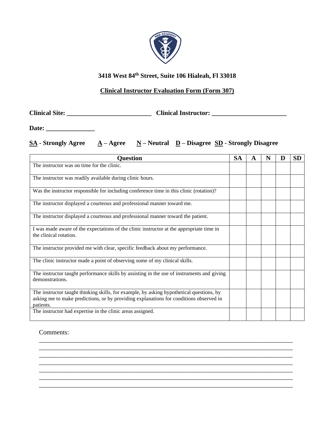

#### **Clinical Instructor Evaluation Form (Form 307)**

**Clinical Site: \_\_\_\_\_\_\_\_\_\_\_\_\_\_\_\_\_\_\_\_\_\_\_\_\_\_ Clinical Instructor: \_\_\_\_\_\_\_\_\_\_\_\_\_\_\_\_\_\_\_\_\_\_\_**

**Date: \_\_\_\_\_\_\_\_\_\_\_\_\_\_\_**

**SA - Strongly Agree A – Agree N – Neutral D – Disagree SD - Strongly Disagree**

| <b>Ouestion</b>                                                                                                                                                                                 | <b>SA</b> | A | N | D | <b>SD</b> |
|-------------------------------------------------------------------------------------------------------------------------------------------------------------------------------------------------|-----------|---|---|---|-----------|
| The instructor was on time for the clinic.                                                                                                                                                      |           |   |   |   |           |
| The instructor was readily available during clinic hours.                                                                                                                                       |           |   |   |   |           |
| Was the instructor responsible for including conference time in this clinic (rotation)?                                                                                                         |           |   |   |   |           |
| The instructor displayed a courteous and professional manner toward me.                                                                                                                         |           |   |   |   |           |
| The instructor displayed a courteous and professional manner toward the patient.                                                                                                                |           |   |   |   |           |
| I was made aware of the expectations of the clinic instructor at the appropriate time in<br>the clinical rotation.                                                                              |           |   |   |   |           |
| The instructor provided me with clear, specific feedback about my performance.                                                                                                                  |           |   |   |   |           |
| The clinic instructor made a point of observing some of my clinical skills.                                                                                                                     |           |   |   |   |           |
| The instructor taught performance skills by assisting in the use of instruments and giving<br>demonstrations.                                                                                   |           |   |   |   |           |
| The instructor taught thinking skills, for example, by asking hypothetical questions, by<br>asking me to make predictions, or by providing explanations for conditions observed in<br>patients. |           |   |   |   |           |
| The instructor had expertise in the clinic areas assigned.                                                                                                                                      |           |   |   |   |           |

\_\_\_\_\_\_\_\_\_\_\_\_\_\_\_\_\_\_\_\_\_\_\_\_\_\_\_\_\_\_\_\_\_\_\_\_\_\_\_\_\_\_\_\_\_\_\_\_\_\_\_\_\_\_\_\_\_\_\_\_\_\_\_\_\_\_\_\_\_\_\_\_\_\_\_\_\_\_ \_\_\_\_\_\_\_\_\_\_\_\_\_\_\_\_\_\_\_\_\_\_\_\_\_\_\_\_\_\_\_\_\_\_\_\_\_\_\_\_\_\_\_\_\_\_\_\_\_\_\_\_\_\_\_\_\_\_\_\_\_\_\_\_\_\_\_\_\_\_\_\_\_\_\_\_\_\_ \_\_\_\_\_\_\_\_\_\_\_\_\_\_\_\_\_\_\_\_\_\_\_\_\_\_\_\_\_\_\_\_\_\_\_\_\_\_\_\_\_\_\_\_\_\_\_\_\_\_\_\_\_\_\_\_\_\_\_\_\_\_\_\_\_\_\_\_\_\_\_\_\_\_\_\_\_\_ \_\_\_\_\_\_\_\_\_\_\_\_\_\_\_\_\_\_\_\_\_\_\_\_\_\_\_\_\_\_\_\_\_\_\_\_\_\_\_\_\_\_\_\_\_\_\_\_\_\_\_\_\_\_\_\_\_\_\_\_\_\_\_\_\_\_\_\_\_\_\_\_\_\_\_\_\_\_ \_\_\_\_\_\_\_\_\_\_\_\_\_\_\_\_\_\_\_\_\_\_\_\_\_\_\_\_\_\_\_\_\_\_\_\_\_\_\_\_\_\_\_\_\_\_\_\_\_\_\_\_\_\_\_\_\_\_\_\_\_\_\_\_\_\_\_\_\_\_\_\_\_\_\_\_\_\_ \_\_\_\_\_\_\_\_\_\_\_\_\_\_\_\_\_\_\_\_\_\_\_\_\_\_\_\_\_\_\_\_\_\_\_\_\_\_\_\_\_\_\_\_\_\_\_\_\_\_\_\_\_\_\_\_\_\_\_\_\_\_\_\_\_\_\_\_\_\_\_\_\_\_\_\_\_\_ \_\_\_\_\_\_\_\_\_\_\_\_\_\_\_\_\_\_\_\_\_\_\_\_\_\_\_\_\_\_\_\_\_\_\_\_\_\_\_\_\_\_\_\_\_\_\_\_\_\_\_\_\_\_\_\_\_\_\_\_\_\_\_\_\_\_\_\_\_\_\_\_\_\_\_\_\_\_

Comments: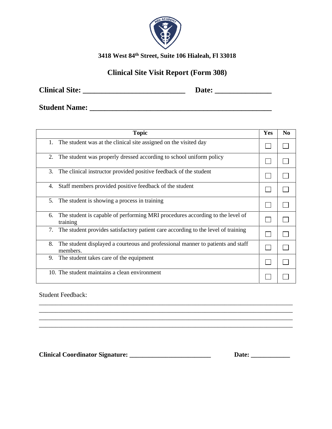

## **Clinical Site Visit Report (Form 308)**

**Clinical Site: \_\_\_\_\_\_\_\_\_\_\_\_\_\_\_\_\_\_\_\_\_\_\_\_\_\_\_ Date: \_\_\_\_\_\_\_\_\_\_\_\_\_\_\_**

**Student Name: \_\_\_\_\_\_\_\_\_\_\_\_\_\_\_\_\_\_\_\_\_\_\_\_\_\_\_\_\_\_\_\_\_\_\_\_\_\_\_\_\_\_\_\_\_\_\_\_**

| <b>Topic</b>                                                                                      | Yes | N <sub>0</sub> |
|---------------------------------------------------------------------------------------------------|-----|----------------|
| The student was at the clinical site assigned on the visited day<br>1.                            |     |                |
| The student was properly dressed according to school uniform policy<br>2.                         |     |                |
| 3.<br>The clinical instructor provided positive feedback of the student                           |     |                |
| Staff members provided positive feedback of the student<br>4.                                     |     |                |
| 5.<br>The student is showing a process in training                                                |     |                |
| The student is capable of performing MRI procedures according to the level of<br>6.<br>training   |     |                |
| 7.<br>The student provides satisfactory patient care according to the level of training           |     |                |
| The student displayed a courteous and professional manner to patients and staff<br>8.<br>members. |     |                |
| 9.<br>The student takes care of the equipment                                                     |     |                |
| 10. The student maintains a clean environment                                                     |     |                |

\_\_\_\_\_\_\_\_\_\_\_\_\_\_\_\_\_\_\_\_\_\_\_\_\_\_\_\_\_\_\_\_\_\_\_\_\_\_\_\_\_\_\_\_\_\_\_\_\_\_\_\_\_\_\_\_\_\_\_\_\_\_\_\_\_\_\_\_\_\_\_\_\_\_\_\_\_\_ \_\_\_\_\_\_\_\_\_\_\_\_\_\_\_\_\_\_\_\_\_\_\_\_\_\_\_\_\_\_\_\_\_\_\_\_\_\_\_\_\_\_\_\_\_\_\_\_\_\_\_\_\_\_\_\_\_\_\_\_\_\_\_\_\_\_\_\_\_\_\_\_\_\_\_\_\_\_ \_\_\_\_\_\_\_\_\_\_\_\_\_\_\_\_\_\_\_\_\_\_\_\_\_\_\_\_\_\_\_\_\_\_\_\_\_\_\_\_\_\_\_\_\_\_\_\_\_\_\_\_\_\_\_\_\_\_\_\_\_\_\_\_\_\_\_\_\_\_\_\_\_\_\_\_\_\_

Student Feedback:

**Clinical Coordinator Signature: \_\_\_\_\_\_\_\_\_\_\_\_\_\_\_\_\_\_\_\_\_\_\_\_\_ Date: \_\_\_\_\_\_\_\_\_\_\_\_**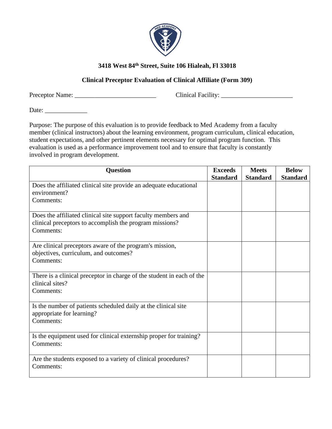

#### **Clinical Preceptor Evaluation of Clinical Affiliate (Form 309)**

Preceptor Name: \_\_\_\_\_\_\_\_\_\_\_\_\_\_\_\_\_\_\_\_\_\_\_\_\_ Clinical Facility: \_\_\_\_\_\_\_\_\_\_\_\_\_\_\_\_\_\_\_\_\_\_

Date: \_\_\_\_\_\_\_\_\_\_\_\_\_

Purpose: The purpose of this evaluation is to provide feedback to Med Academy from a faculty member (clinical instructors) about the learning environment, program curriculum, clinical education, student expectations, and other pertinent elements necessary for optimal program function. This evaluation is used as a performance improvement tool and to ensure that faculty is constantly involved in program development.

| <b>Question</b>                                                                                                                       | <b>Exceeds</b><br><b>Standard</b> | <b>Meets</b><br><b>Standard</b> | <b>Below</b><br><b>Standard</b> |
|---------------------------------------------------------------------------------------------------------------------------------------|-----------------------------------|---------------------------------|---------------------------------|
| Does the affiliated clinical site provide an adequate educational<br>environment?<br>Comments:                                        |                                   |                                 |                                 |
| Does the affiliated clinical site support faculty members and<br>clinical preceptors to accomplish the program missions?<br>Comments: |                                   |                                 |                                 |
| Are clinical preceptors aware of the program's mission,<br>objectives, curriculum, and outcomes?<br>Comments:                         |                                   |                                 |                                 |
| There is a clinical preceptor in charge of the student in each of the<br>clinical sites?<br>Comments:                                 |                                   |                                 |                                 |
| Is the number of patients scheduled daily at the clinical site<br>appropriate for learning?<br>Comments:                              |                                   |                                 |                                 |
| Is the equipment used for clinical externship proper for training?<br>Comments:                                                       |                                   |                                 |                                 |
| Are the students exposed to a variety of clinical procedures?<br>Comments:                                                            |                                   |                                 |                                 |